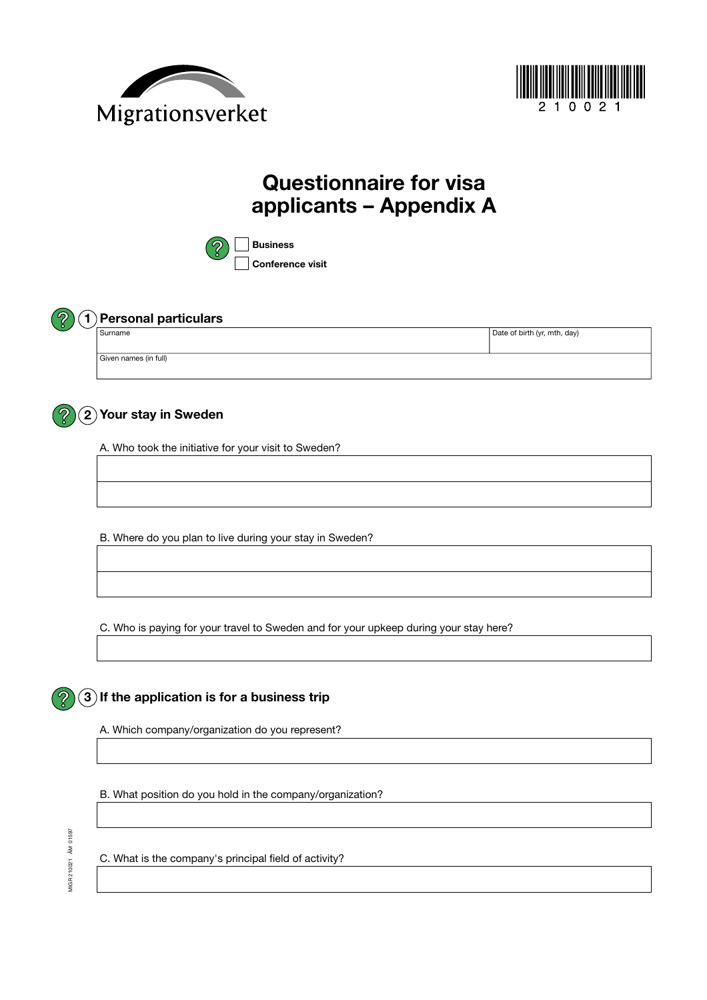



# **Questionnaire for visa applicants – Appendix A**





### **1 Personal particulars**

| l Surname             | Date of birth (yr, mth, day) |  |
|-----------------------|------------------------------|--|
|                       |                              |  |
| Given names (in full) |                              |  |

# **Your stay in Sweden 2**

A. Who took the initiative for your visit to Sweden?

B. Where do you plan to live during your stay in Sweden?

C. Who is paying for your travel to Sweden and for your upkeep during your stay here?

## **3 If the application is for a business trip**

A. Which company/organization do you represent?

B. What position do you hold in the company/organization?

C. What is the company's principal field of activity?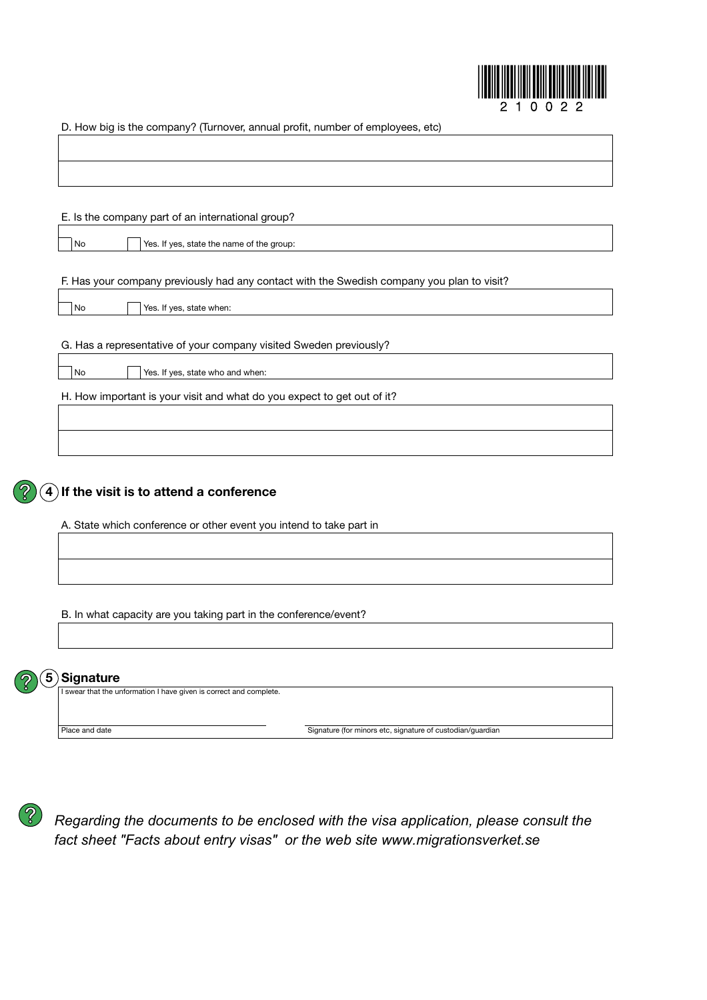

D. How big is the company? (Turnover, annual profit, number of employees, etc)

|                      | E. Is the company part of an international group?                                          |
|----------------------|--------------------------------------------------------------------------------------------|
|                      |                                                                                            |
| No                   | Yes. If yes, state the name of the group:                                                  |
|                      |                                                                                            |
|                      | F. Has your company previously had any contact with the Swedish company you plan to visit? |
| No                   | Yes. If yes, state when:                                                                   |
|                      |                                                                                            |
|                      | G. Has a representative of your company visited Sweden previously?                         |
| No                   | Yes. If yes, state who and when:                                                           |
|                      |                                                                                            |
|                      | H. How important is your visit and what do you expect to get out of it?                    |
|                      |                                                                                            |
|                      |                                                                                            |
|                      |                                                                                            |
|                      |                                                                                            |
|                      |                                                                                            |
| $\vert \bm{4} \vert$ | If the visit is to attend a conference                                                     |
|                      |                                                                                            |
|                      | A. State which conference or other event you intend to take part in                        |
|                      |                                                                                            |
|                      |                                                                                            |
|                      |                                                                                            |
|                      | B. In what capacity are you taking part in the conference/event?                           |
|                      |                                                                                            |
|                      |                                                                                            |

I swear that the unformation I have given is correct and complete.

Place and date

Signature (for minors etc, signature of custodian/guardian



*Regarding documents to be enclosed with the visa application, please Regarding the documents to be enclosed with the visa application, please consult the consult the information brochure 'Applying for a Swedish Entry Visa' fact sheet "Facts about entry visas" or the web site www.migrationsverket.se*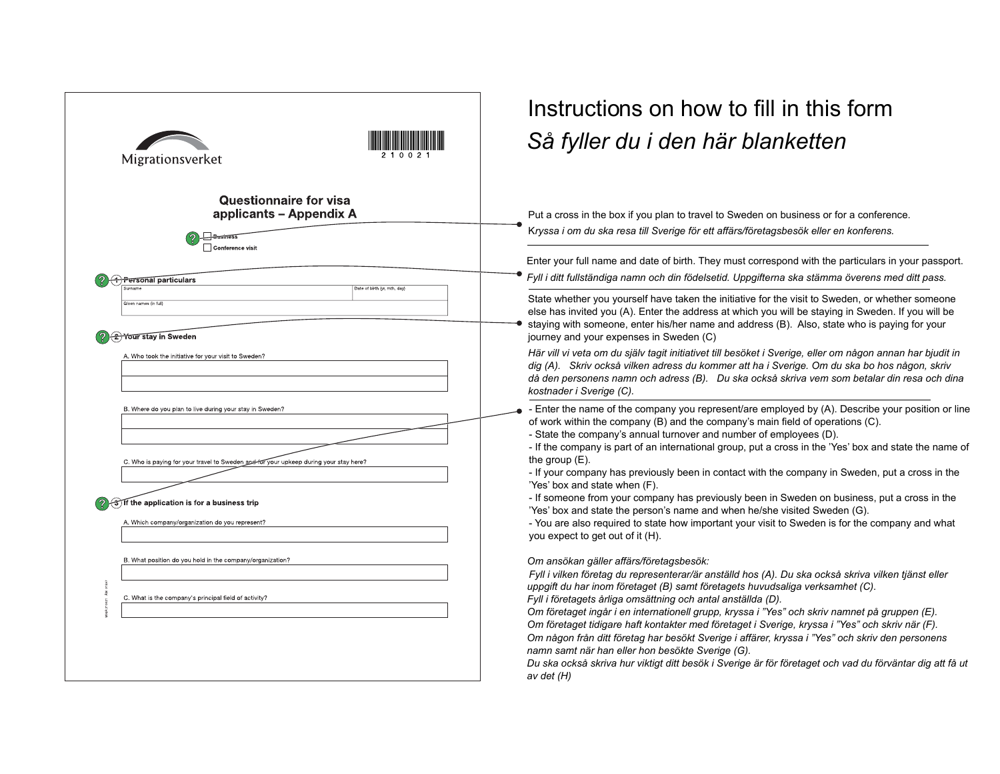| Migrationsverket                                                                                                                                                                                                                                      | Instructions on how to fill in this form<br>Så fyller du i den här blanketten                                                                                                                                                                                                                                                                                                                                                                                                                                                                                                                                                                                                                                                                                                                                                                    |
|-------------------------------------------------------------------------------------------------------------------------------------------------------------------------------------------------------------------------------------------------------|--------------------------------------------------------------------------------------------------------------------------------------------------------------------------------------------------------------------------------------------------------------------------------------------------------------------------------------------------------------------------------------------------------------------------------------------------------------------------------------------------------------------------------------------------------------------------------------------------------------------------------------------------------------------------------------------------------------------------------------------------------------------------------------------------------------------------------------------------|
| <b>Questionnaire for visa</b><br>applicants - Appendix A<br>Conference visit                                                                                                                                                                          | Put a cross in the box if you plan to travel to Sweden on business or for a conference.<br>Kryssa i om du ska resa till Sverige för ett affärs/företagsbesök eller en konferens.                                                                                                                                                                                                                                                                                                                                                                                                                                                                                                                                                                                                                                                                 |
| <b>Personal particulars</b>                                                                                                                                                                                                                           | Enter your full name and date of birth. They must correspond with the particulars in your passport.<br>Fyll i ditt fullständiga namn och din födelsetid. Uppgifterna ska stämma överens med ditt pass.                                                                                                                                                                                                                                                                                                                                                                                                                                                                                                                                                                                                                                           |
| Date of birth (vr. mth, day)<br>Siven names (in full)<br><b>Your stay in Sweden</b>                                                                                                                                                                   | State whether you yourself have taken the initiative for the visit to Sweden, or whether someone<br>else has invited you (A). Enter the address at which you will be staying in Sweden. If you will be<br>staying with someone, enter his/her name and address (B). Also, state who is paying for your<br>journey and your expenses in Sweden (C)                                                                                                                                                                                                                                                                                                                                                                                                                                                                                                |
| A. Who took the initiative for your visit to Sweden?                                                                                                                                                                                                  | Här vill vi veta om du själv tagit initiativet till besöket i Sverige, eller om någon annan har bjudit in<br>dig (A). Skriv också vilken adress du kommer att ha i Sverige. Om du ska bo hos någon, skriv<br>då den personens namn och adress (B). Du ska också skriva vem som betalar din resa och dina<br>kostnader i Sverige (C).                                                                                                                                                                                                                                                                                                                                                                                                                                                                                                             |
| B. Where do you plan to live during your stay in Sweden?<br>C. Who is paying for your travel to Sweden and for your upkeep during your stay here?<br>(उ) If the application is for a business trip<br>A. Which company/organization do you represent? | - Enter the name of the company you represent/are employed by (A). Describe your position or line<br>of work within the company (B) and the company's main field of operations (C).<br>- State the company's annual turnover and number of employees (D).<br>- If the company is part of an international group, put a cross in the 'Yes' box and state the name of<br>the group $(E)$ .<br>- If your company has previously been in contact with the company in Sweden, put a cross in the<br>'Yes' box and state when (F).<br>- If someone from your company has previously been in Sweden on business, put a cross in the<br>'Yes' box and state the person's name and when he/she visited Sweden (G).<br>- You are also required to state how important your visit to Sweden is for the company and what<br>you expect to get out of it (H). |
| B. What position do you hold in the company/organization?<br>C. What is the company's principal field of activity?                                                                                                                                    | Om ansökan gäller affärs/företagsbesök:<br>Fyll i vilken företag du representerar/är anställd hos (A). Du ska också skriva vilken tjänst eller<br>uppgift du har inom företaget (B) samt företagets huvudsaliga verksamhet (C).<br>Fyll i företagets årliga omsättning och antal anställda (D).<br>Om företaget ingår i en internationell grupp, kryssa i "Yes" och skriv namnet på gruppen (E).<br>Om företaget tidigare haft kontakter med företaget i Sverige, kryssa i "Yes" och skriv när (F).<br>Om någon från ditt företag har besökt Sverige i affärer, kryssa i "Yes" och skriv den personens<br>namn samt när han eller hon besökte Sverige (G).<br>Du ska också skriva hur viktigt ditt besök i Sverige är för företaget och vad du förväntar dig att få ut<br>av det (H)                                                             |